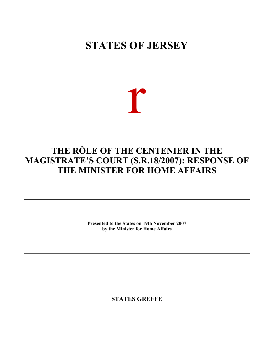# **STATES OF JERSEY**



## **THE RÔLE OF THE CENTENIER IN THE MAGISTRATE'S COURT (S.R.18/2007): RESPONSE OF THE MINISTER FOR HOME AFFAIRS**

**Presented to the States on 19th November 2007 by the Minister for Home Affairs**

**STATES GREFFE**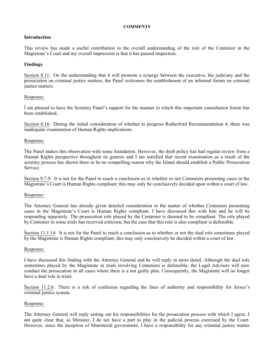#### **COMMENTS**

## **Introduction**

This review has made a useful contribution to the overall understanding of the role of the Centenier in the Magistrate's Court and my overall impression is that it has passed inspection.

## **Findings**

Section 8.11: On the understanding that it will promote a synergy between the executive, the judiciary and the prosecution on criminal justice matters, the Panel welcomes the establishment of an informal forum on criminal justice matters.

## Response:

I am pleased to have the Scrutiny Panel's support for the manner in which this important consultation forum has been established.

Section 8.16: During the initial consideration of whether to progress Rutherford Recommendation 4, there was inadequate examination of Human Rights implications.

## Response:

The Panel makes this observation with some foundation. However, the draft policy has had regular review from a Human Rights perspective throughout its genesis and I am satisfied that recent examination as a result of the scrutiny process has shown there to be no compelling reason why the Island should establish a Public Prosecution Service.

Section 9.7.9: It is not for the Panel to reach a conclusion as to whether or not Centeniers presenting cases in the Magistrate's Court is Human Rights compliant; this may only be conclusively decided upon within a court of law.

#### Response:

The Attorney General has already given detailed consideration to the matter of whether Centeniers presenting cases in the Magistrate's Court is Human Rights compliant. I have discussed this with him and he will be responding separately. The prosecution role played by the Centenier is deemed to be compliant. The role played by Centenier in some trials has received criticism, but the case that this role is also compliant is defensible.

Section 11.1.14: It is not for the Panel to reach a conclusion as to whether or not the dual role sometimes played by the Magistrate is Human Rights compliant; this may only conclusively be decided within a court of law.

#### Response:

I have discussed this finding with the Attorney General and he will reply in more detail. Although the dual role sometimes played by the Magistrate in trials involving Centeniers is defensible, the Legal Advisers will now conduct the prosecution in all cases where there is a not guilty plea. Consequently, the Magistrate will no longer have a dual role in trials.

Section 11.2.6: There is a risk of confusion regarding the lines of authority and responsibility for Jersey's criminal justice system.

## Response:

The Attorney General will reply setting out his responsibilities for the prosecution process with which I agree. I am quite clear that, as Minister, I do not have a part to play in the judicial process exercised by the Court. However, since the inception of Ministerial government, I have a responsibility for any criminal justice matter